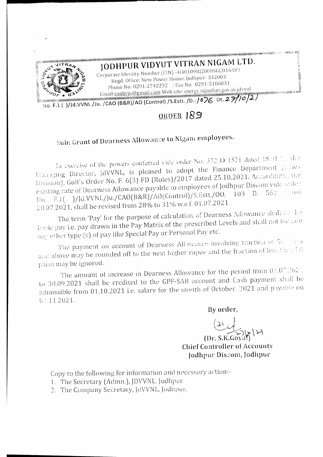

## JODHPUR VIDYUT VITRAN NIGAM LTD.

Corporate Identity Number (CIN) -U40109RJ2000SGC016483 Regd. Office: New Power House, Jodhpur- 342003 Phone No: 0291-2742232 : Fax No: 0291-5106031 Email:caobrju@gmail.com Web site: energy.rajasthan.gov.in/jdvvnl

No. F.1 ( )/Jd.VVNL /Ju. /CAO (B&R)/AO (Control) /S.Estt. /D.:/076 Dt. 27/10/2)

## ORDER 189

## Sub: Grant of Dearness Allowance to Nigam employees.

In exercise of the powers conferred vide order No. 372 D 1521 dated 18.91 12, the Managing Director, JdVVNL, is pleased to adopt the Finance Department (Rales Division), GoR's Order No. F. 6(3) FD (Rules)/2017 dated 25.10.2021. Accordingly, the existing rate of Dearness Allowance payable to employees of Jodhpur Discom vide order No. F.1( )/Jd.VVNL/Ju./CAO(B&R)/AO(Control)/S.Estt./OO. 103 D. 562 Cared 20.07.2021, shall be revised from 28% to 31% w.e.f. 01.07.2021.

The term 'Pay' for the purpose of calculation of Dearness Allowance shall no the Basic pay i.e. pay drawn in the Pay Matrix of the prescribed Levels and shall not include any other type (s) of pay like Special Pay or Personal Pay etc.

The payment on account of Dearness Allowance involving fraction of 5th rates and above may be rounded off to the next higher rupee and the fraction of less then  $\Gamma$ 0 paisa may be ignored.

The amount of increase in Dearness Allowance for the period from 01.07.2021 to 30.09.2021 shall be credited to the GPF-SAB account and Cash payment shall be admissible from 01.10.2021 i.e. salary for the month of October. 2021 and payable on  $01.11.2021.$ 

By order,

 $(Dr. S.K. Gova)$ **Chief Controller of Accounts** Jodhpur Discom, Jodhpur

Copy to the following for information and necessary action:-

- 1. The Secretary (Admn.), JDVVNL. Jodhpur.
- 2. The Company Secretary, JdVVNL, Jodhpur.